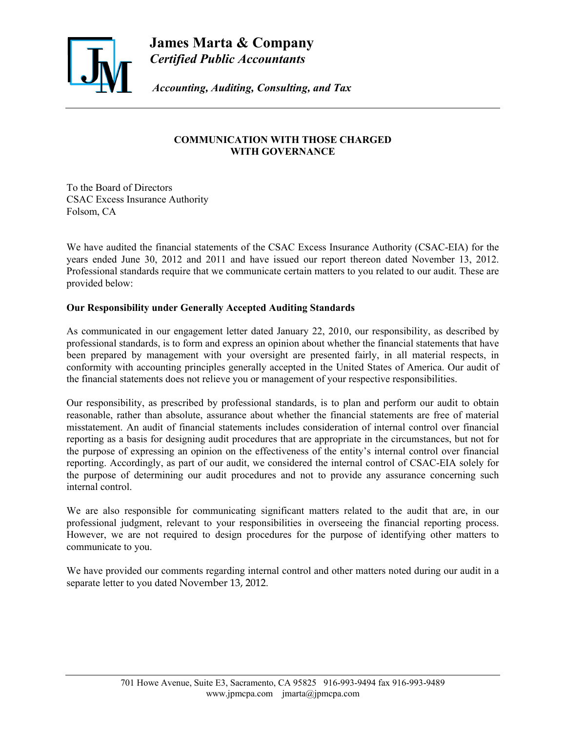

**James Marta & Company** *Certified Public Accountants*

 *Accounting, Auditing, Consulting, and Tax*

# **COMMUNICATION WITH THOSE CHARGED WITH GOVERNANCE**

To the Board of Directors CSAC Excess Insurance Authority Folsom, CA

We have audited the financial statements of the CSAC Excess Insurance Authority (CSAC-EIA) for the years ended June 30, 2012 and 2011 and have issued our report thereon dated November 13, 2012. Professional standards require that we communicate certain matters to you related to our audit. These are provided below:

## **Our Responsibility under Generally Accepted Auditing Standards**

As communicated in our engagement letter dated January 22, 2010, our responsibility, as described by professional standards, is to form and express an opinion about whether the financial statements that have been prepared by management with your oversight are presented fairly, in all material respects, in conformity with accounting principles generally accepted in the United States of America. Our audit of the financial statements does not relieve you or management of your respective responsibilities.

Our responsibility, as prescribed by professional standards, is to plan and perform our audit to obtain reasonable, rather than absolute, assurance about whether the financial statements are free of material misstatement. An audit of financial statements includes consideration of internal control over financial reporting as a basis for designing audit procedures that are appropriate in the circumstances, but not for the purpose of expressing an opinion on the effectiveness of the entity's internal control over financial reporting. Accordingly, as part of our audit, we considered the internal control of CSAC-EIA solely for the purpose of determining our audit procedures and not to provide any assurance concerning such internal control.

We are also responsible for communicating significant matters related to the audit that are, in our professional judgment, relevant to your responsibilities in overseeing the financial reporting process. However, we are not required to design procedures for the purpose of identifying other matters to communicate to you.

We have provided our comments regarding internal control and other matters noted during our audit in a separate letter to you dated November 13, 2012.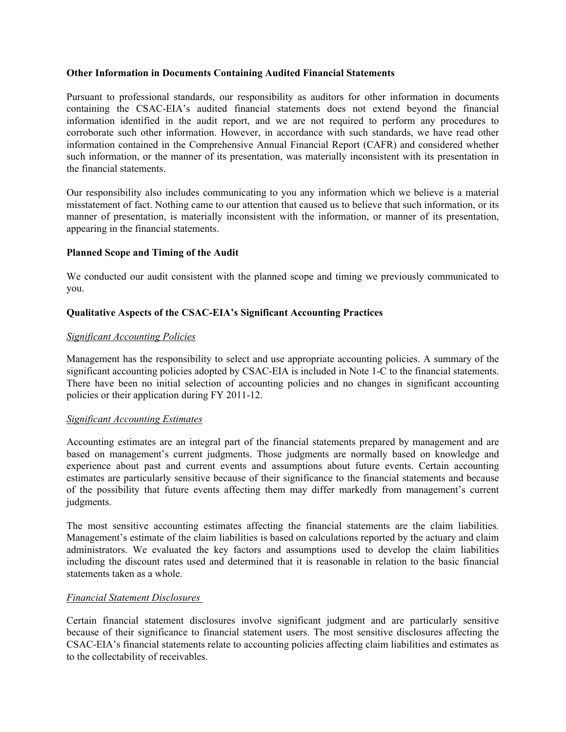#### **Other Information in Documents Containing Audited Financial Statements**

Pursuant to professional standards, our responsibility as auditors for other information in documents containing the CSAC-EIA's audited financial statements does not extend beyond the financial information identified in the audit report, and we are not required to perform any procedures to corroborate such other information. However, in accordance with such standards, we have read other information contained in the Comprehensive Annual Financial Report (CAFR) and considered whether such information, or the manner of its presentation, was materially inconsistent with its presentation in the financial statements.

Our responsibility also includes communicating to you any information which we believe is a material misstatement of fact. Nothing came to our attention that caused us to believe that such information, or its manner of presentation, is materially inconsistent with the information, or manner of its presentation, appearing in the financial statements.

### **Planned Scope and Timing of the Audit**

We conducted our audit consistent with the planned scope and timing we previously communicated to you.

## **Qualitative Aspects of the CSAC-EIA's Significant Accounting Practices**

### *Significant Accounting Policies*

Management has the responsibility to select and use appropriate accounting policies. A summary of the significant accounting policies adopted by CSAC-EIA is included in Note 1-C to the financial statements. There have been no initial selection of accounting policies and no changes in significant accounting policies or their application during FY 2011-12.

### *Significant Accounting Estimates*

Accounting estimates are an integral part of the financial statements prepared by management and are based on management's current judgments. Those judgments are normally based on knowledge and experience about past and current events and assumptions about future events. Certain accounting estimates are particularly sensitive because of their significance to the financial statements and because of the possibility that future events affecting them may differ markedly from management's current judgments.

The most sensitive accounting estimates affecting the financial statements are the claim liabilities*.*  Management's estimate of the claim liabilities is based on calculations reported by the actuary and claim administrators. We evaluated the key factors and assumptions used to develop the claim liabilities including the discount rates used and determined that it is reasonable in relation to the basic financial statements taken as a whole.

### *Financial Statement Disclosures*

Certain financial statement disclosures involve significant judgment and are particularly sensitive because of their significance to financial statement users. The most sensitive disclosures affecting the CSAC-EIA's financial statements relate to accounting policies affecting claim liabilities and estimates as to the collectability of receivables.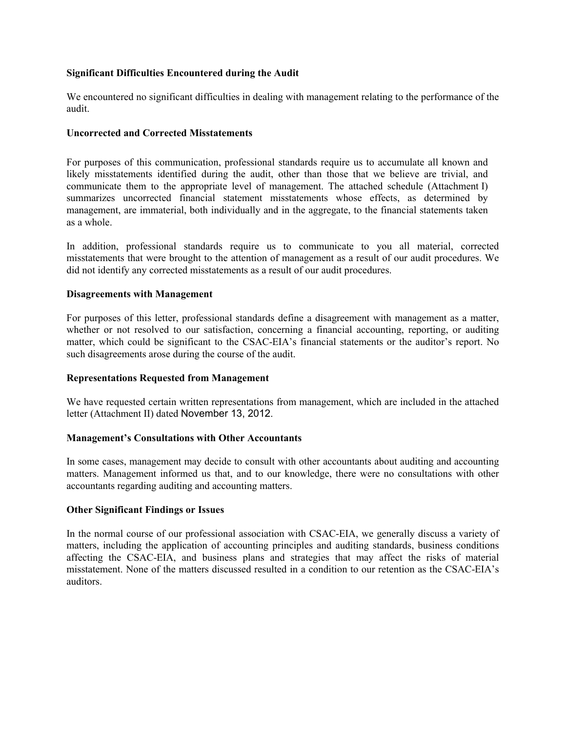### **Significant Difficulties Encountered during the Audit**

We encountered no significant difficulties in dealing with management relating to the performance of the audit.

### **Uncorrected and Corrected Misstatements**

For purposes of this communication, professional standards require us to accumulate all known and likely misstatements identified during the audit, other than those that we believe are trivial, and communicate them to the appropriate level of management. The attached schedule (Attachment I) summarizes uncorrected financial statement misstatements whose effects, as determined by management, are immaterial, both individually and in the aggregate, to the financial statements taken as a whole.

In addition, professional standards require us to communicate to you all material, corrected misstatements that were brought to the attention of management as a result of our audit procedures. We did not identify any corrected misstatements as a result of our audit procedures.

#### **Disagreements with Management**

For purposes of this letter, professional standards define a disagreement with management as a matter, whether or not resolved to our satisfaction, concerning a financial accounting, reporting, or auditing matter, which could be significant to the CSAC-EIA's financial statements or the auditor's report. No such disagreements arose during the course of the audit.

### **Representations Requested from Management**

We have requested certain written representations from management, which are included in the attached letter (Attachment II) dated November 13, 2012.

### **Management's Consultations with Other Accountants**

In some cases, management may decide to consult with other accountants about auditing and accounting matters. Management informed us that, and to our knowledge, there were no consultations with other accountants regarding auditing and accounting matters.

#### **Other Significant Findings or Issues**

In the normal course of our professional association with CSAC-EIA, we generally discuss a variety of matters, including the application of accounting principles and auditing standards, business conditions affecting the CSAC-EIA, and business plans and strategies that may affect the risks of material misstatement. None of the matters discussed resulted in a condition to our retention as the CSAC-EIA's auditors.